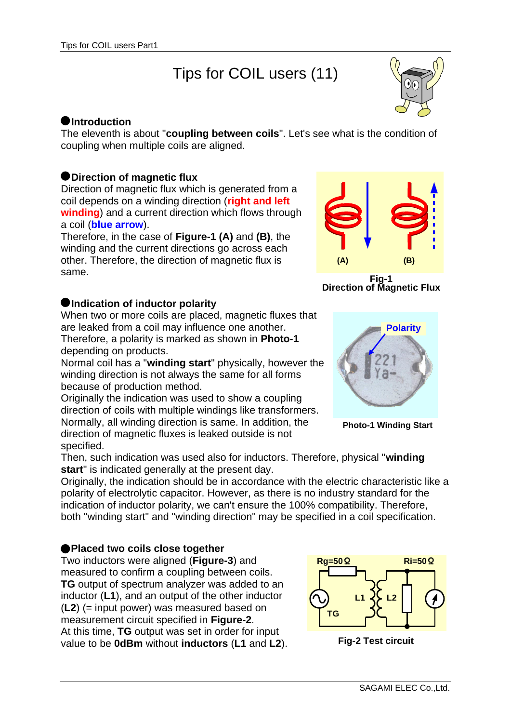# Tips for COIL users (11)



# **Introduction**

The eleventh is about "**coupling between coils**". Let's see what is the condition of coupling when multiple coils are aligned.

# **Direction of magnetic flux**

Direction of magnetic flux which is generated from a coil depends on a winding direction (**right and left winding**) and a current direction which flows through a coil (**blue arrow**).

Therefore, in the case of **Figure-1 (A)** and **(B)**, the winding and the current directions go across each other. Therefore, the direction of magnetic flux is same.

### $\bullet$  **Indication of inductor polarity**

When two or more coils are placed, magnetic fluxes that are leaked from a coil may influence one another. Therefore, a polarity is marked as shown in **Photo-1** depending on products.

Normal coil has a "**winding start**" physically, however the winding direction is not always the same for all forms because of production method.

Originally the indication was used to show a coupling direction of coils with multiple windings like transformers. Normally, all winding direction is same. In addition, the direction of magnetic fluxes is leaked outside is not specified.



**Fig-1 Direction of Magnetic Flux**



**Photo-1 Winding Start**

Then, such indication was used also for inductors. Therefore, physical "**winding start**" is indicated generally at the present day.

Originally, the indication should be in accordance with the electric characteristic like a polarity of electrolytic capacitor. However, as there is no industry standard for the indication of inductor polarity, we can't ensure the 100% compatibility. Therefore, both "winding start" and "winding direction" may be specified in a coil specification.

# **Placed two coils close together**

Two inductors were aligned (**Figure-3**) and measured to confirm a coupling between coils. **TG** output of spectrum analyzer was added to an inductor (**L1**), and an output of the other inductor (**L2**) (= input power) was measured based on measurement circuit specified in **Figure-2**. At this time, **TG** output was set in order for input value to be **0dBm** without **inductors** (**L1** and **L2**).



**Fig-2 Test circuit**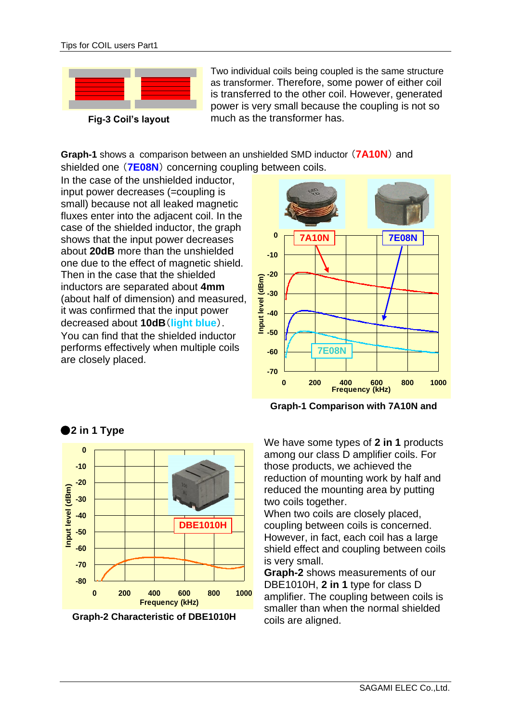

Two individual coils being coupled is the same structure as transformer. Therefore, some power of either coil is transferred to the other coil. However, generated power is very small because the coupling is not so much as the transformer has.



In the case of the unshielded inductor, input power decreases (=coupling is small) because not all leaked magnetic fluxes enter into the adjacent coil. In the case of the shielded inductor, the graph shows that the input power decreases about **20dB** more than the unshielded one due to the effect of magnetic shield. Then in the case that the shielded inductors are separated about **4mm** (about half of dimension) and measured, it was confirmed that the input power decreased about **10dB**(**light blue**). You can find that the shielded inductor performs effectively when multiple coils are closely placed.



**Graph-1 Comparison with 7A10N and** 



**Graph-2 Characteristic of DBE1010H**

We have some types of **2 in 1** products among our class D amplifier coils. For those products, we achieved the reduction of mounting work by half and reduced the mounting area by putting two coils together.

When two coils are closely placed. coupling between coils is concerned. However, in fact, each coil has a large shield effect and coupling between coils is very small.

**Graph-2** shows measurements of our DBE1010H, **2 in 1** type for class D amplifier. The coupling between coils is smaller than when the normal shielded coils are aligned.

**2 in 1 Type**